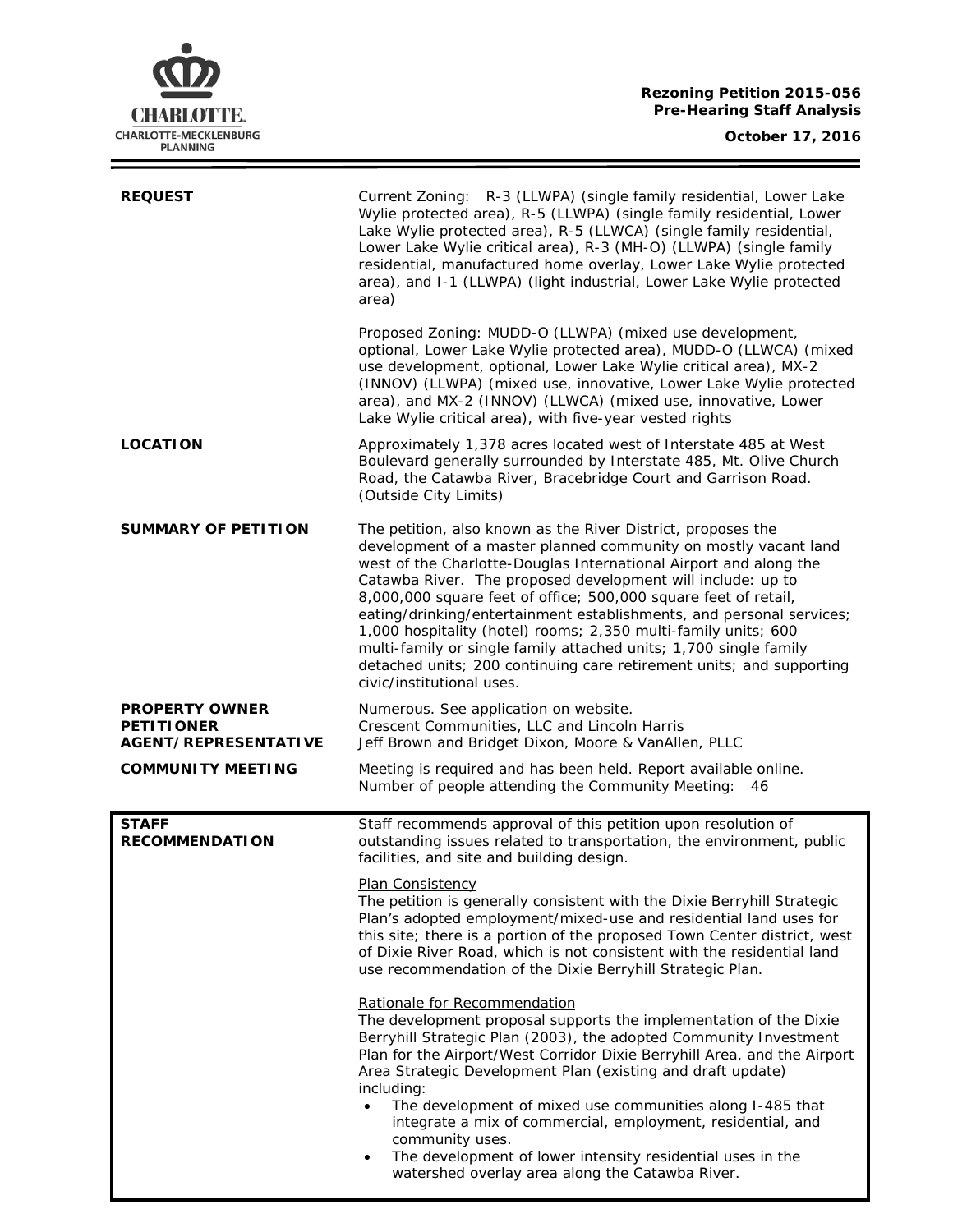

 $\equiv$ 

| <b>REQUEST</b>                                                            | Current Zoning: R-3 (LLWPA) (single family residential, Lower Lake<br>Wylie protected area), R-5 (LLWPA) (single family residential, Lower<br>Lake Wylie protected area), R-5 (LLWCA) (single family residential,<br>Lower Lake Wylie critical area), R-3 (MH-O) (LLWPA) (single family<br>residential, manufactured home overlay, Lower Lake Wylie protected<br>area), and I-1 (LLWPA) (light industrial, Lower Lake Wylie protected<br>area)                                                                                                                                                                                                             |
|---------------------------------------------------------------------------|------------------------------------------------------------------------------------------------------------------------------------------------------------------------------------------------------------------------------------------------------------------------------------------------------------------------------------------------------------------------------------------------------------------------------------------------------------------------------------------------------------------------------------------------------------------------------------------------------------------------------------------------------------|
|                                                                           | Proposed Zoning: MUDD-O (LLWPA) (mixed use development,<br>optional, Lower Lake Wylie protected area), MUDD-O (LLWCA) (mixed<br>use development, optional, Lower Lake Wylie critical area), MX-2<br>(INNOV) (LLWPA) (mixed use, innovative, Lower Lake Wylie protected<br>area), and MX-2 (INNOV) (LLWCA) (mixed use, innovative, Lower<br>Lake Wylie critical area), with five-year vested rights                                                                                                                                                                                                                                                         |
| <b>LOCATION</b>                                                           | Approximately 1,378 acres located west of Interstate 485 at West<br>Boulevard generally surrounded by Interstate 485, Mt. Olive Church<br>Road, the Catawba River, Bracebridge Court and Garrison Road.<br>(Outside City Limits)                                                                                                                                                                                                                                                                                                                                                                                                                           |
| <b>SUMMARY OF PETITION</b>                                                | The petition, also known as the River District, proposes the<br>development of a master planned community on mostly vacant land<br>west of the Charlotte-Douglas International Airport and along the<br>Catawba River. The proposed development will include: up to<br>8,000,000 square feet of office; 500,000 square feet of retail,<br>eating/drinking/entertainment establishments, and personal services;<br>1,000 hospitality (hotel) rooms; 2,350 multi-family units; 600<br>multi-family or single family attached units; 1,700 single family<br>detached units; 200 continuing care retirement units; and supporting<br>civic/institutional uses. |
| <b>PROPERTY OWNER</b><br><b>PETITIONER</b><br><b>AGENT/REPRESENTATIVE</b> | Numerous. See application on website.<br>Crescent Communities, LLC and Lincoln Harris<br>Jeff Brown and Bridget Dixon, Moore & VanAllen, PLLC                                                                                                                                                                                                                                                                                                                                                                                                                                                                                                              |
| <b>COMMUNITY MEETING</b>                                                  | Meeting is required and has been held. Report available online.<br>Number of people attending the Community Meeting: 46                                                                                                                                                                                                                                                                                                                                                                                                                                                                                                                                    |
| <b>STAFF</b><br><b>RECOMMENDATION</b>                                     | Staff recommends approval of this petition upon resolution of<br>outstanding issues related to transportation, the environment, public<br>facilities, and site and building design.                                                                                                                                                                                                                                                                                                                                                                                                                                                                        |
|                                                                           | Plan Consistency<br>The petition is generally consistent with the Dixie Berryhill Strategic<br>Plan's adopted employment/mixed-use and residential land uses for<br>this site; there is a portion of the proposed Town Center district, west<br>of Dixie River Road, which is not consistent with the residential land<br>use recommendation of the Dixie Berryhill Strategic Plan.                                                                                                                                                                                                                                                                        |
|                                                                           | Rationale for Recommendation<br>The development proposal supports the implementation of the Dixie<br>Berryhill Strategic Plan (2003), the adopted Community Investment<br>Plan for the Airport/West Corridor Dixie Berryhill Area, and the Airport<br>Area Strategic Development Plan (existing and draft update)<br>including:<br>The development of mixed use communities along I-485 that<br>$\bullet$<br>integrate a mix of commercial, employment, residential, and<br>community uses.<br>The development of lower intensity residential uses in the<br>٠<br>watershed overlay area along the Catawba River.                                          |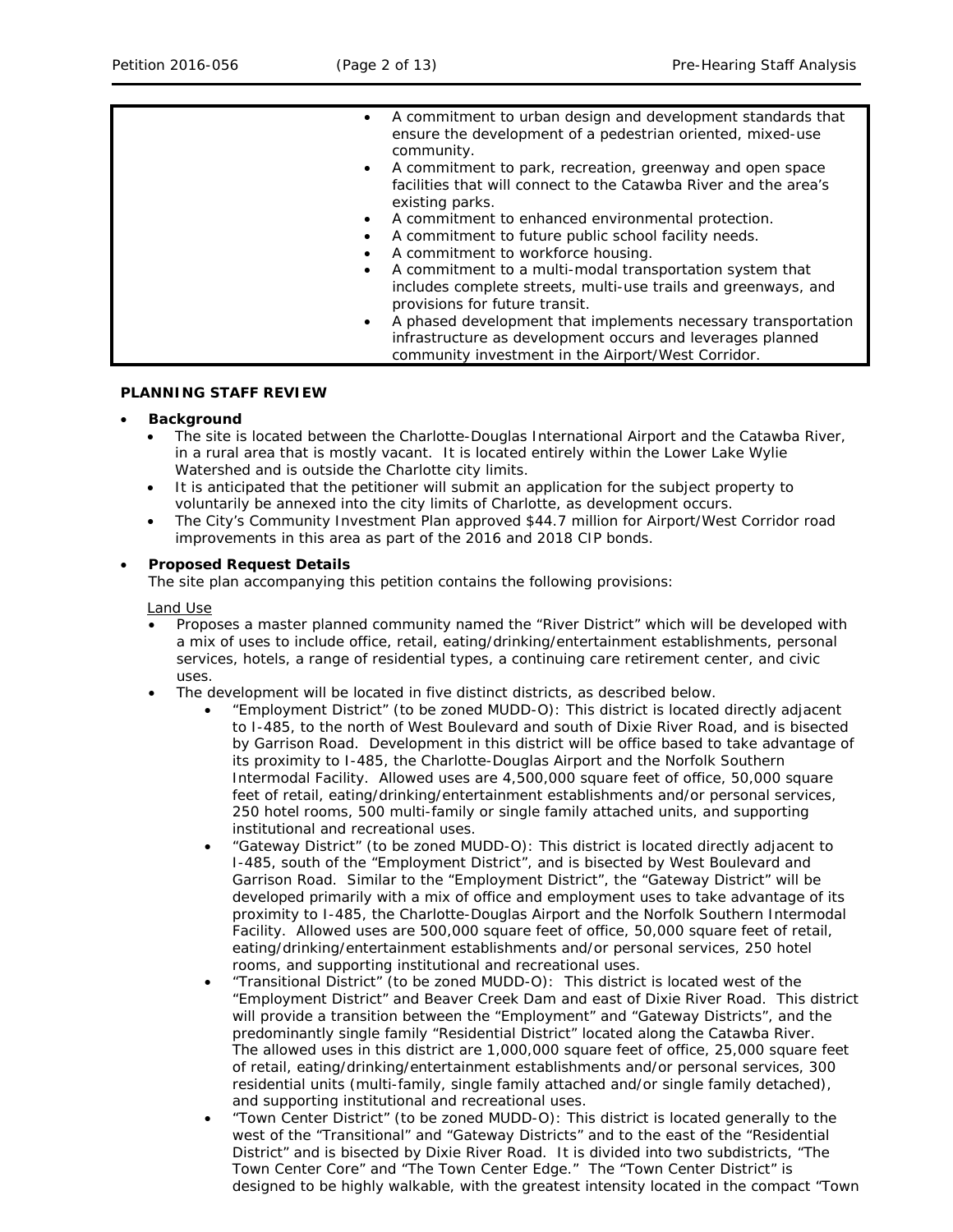| $\bullet$<br>$\bullet$<br>$\bullet$<br>$\bullet$ | A commitment to urban design and development standards that<br>ensure the development of a pedestrian oriented, mixed-use<br>community.<br>A commitment to park, recreation, greenway and open space<br>facilities that will connect to the Catawba River and the area's<br>existing parks.<br>A commitment to enhanced environmental protection.<br>A commitment to future public school facility needs.<br>A commitment to workforce housing.<br>A commitment to a multi-modal transportation system that<br>includes complete streets, multi-use trails and greenways, and<br>provisions for future transit.<br>A phased development that implements necessary transportation<br>infrastructure as development occurs and leverages planned |
|--------------------------------------------------|------------------------------------------------------------------------------------------------------------------------------------------------------------------------------------------------------------------------------------------------------------------------------------------------------------------------------------------------------------------------------------------------------------------------------------------------------------------------------------------------------------------------------------------------------------------------------------------------------------------------------------------------------------------------------------------------------------------------------------------------|
|                                                  | community investment in the Airport/West Corridor.                                                                                                                                                                                                                                                                                                                                                                                                                                                                                                                                                                                                                                                                                             |

### **PLANNING STAFF REVIEW**

### • **Background**

- The site is located between the Charlotte-Douglas International Airport and the Catawba River, in a rural area that is mostly vacant. It is located entirely within the Lower Lake Wylie Watershed and is outside the Charlotte city limits.
- It is anticipated that the petitioner will submit an application for the subject property to voluntarily be annexed into the city limits of Charlotte, as development occurs.
- The City's *Community Investment Plan* approved \$44.7 million for Airport/West Corridor road improvements in this area as part of the 2016 and 2018 CIP bonds.

### • **Proposed Request Details**

The site plan accompanying this petition contains the following provisions:

Land Use

- Proposes a master planned community named the "River District" which will be developed with a mix of uses to include office, retail, eating/drinking/entertainment establishments, personal services, hotels, a range of residential types, a continuing care retirement center, and civic uses.
- The development will be located in five distinct districts, as described below.
	- "Employment District" (to be zoned MUDD-O): This district is located directly adjacent to I-485, to the north of West Boulevard and south of Dixie River Road, and is bisected by Garrison Road. Development in this district will be office based to take advantage of its proximity to I-485, the Charlotte-Douglas Airport and the Norfolk Southern Intermodal Facility. Allowed uses are 4,500,000 square feet of office, 50,000 square feet of retail, eating/drinking/entertainment establishments and/or personal services, 250 hotel rooms, 500 multi-family or single family attached units, and supporting institutional and recreational uses.
	- "Gateway District" (to be zoned MUDD-O): This district is located directly adjacent to I-485, south of the "Employment District", and is bisected by West Boulevard and Garrison Road. Similar to the "Employment District", the "Gateway District" will be developed primarily with a mix of office and employment uses to take advantage of its proximity to I-485, the Charlotte-Douglas Airport and the Norfolk Southern Intermodal Facility. Allowed uses are 500,000 square feet of office, 50,000 square feet of retail, eating/drinking/entertainment establishments and/or personal services, 250 hotel rooms, and supporting institutional and recreational uses.
	- "Transitional District" (to be zoned MUDD-O): This district is located west of the "Employment District" and Beaver Creek Dam and east of Dixie River Road. This district will provide a transition between the "Employment" and "Gateway Districts", and the predominantly single family "Residential District" located along the Catawba River. The allowed uses in this district are 1,000,000 square feet of office, 25,000 square feet of retail, eating/drinking/entertainment establishments and/or personal services, 300 residential units (multi-family, single family attached and/or single family detached), and supporting institutional and recreational uses.
	- "Town Center District" (to be zoned MUDD-O): This district is located generally to the west of the "Transitional" and "Gateway Districts" and to the east of the "Residential District" and is bisected by Dixie River Road. It is divided into two subdistricts, "The Town Center Core" and "The Town Center Edge." The "Town Center District" is designed to be highly walkable, with the greatest intensity located in the compact "Town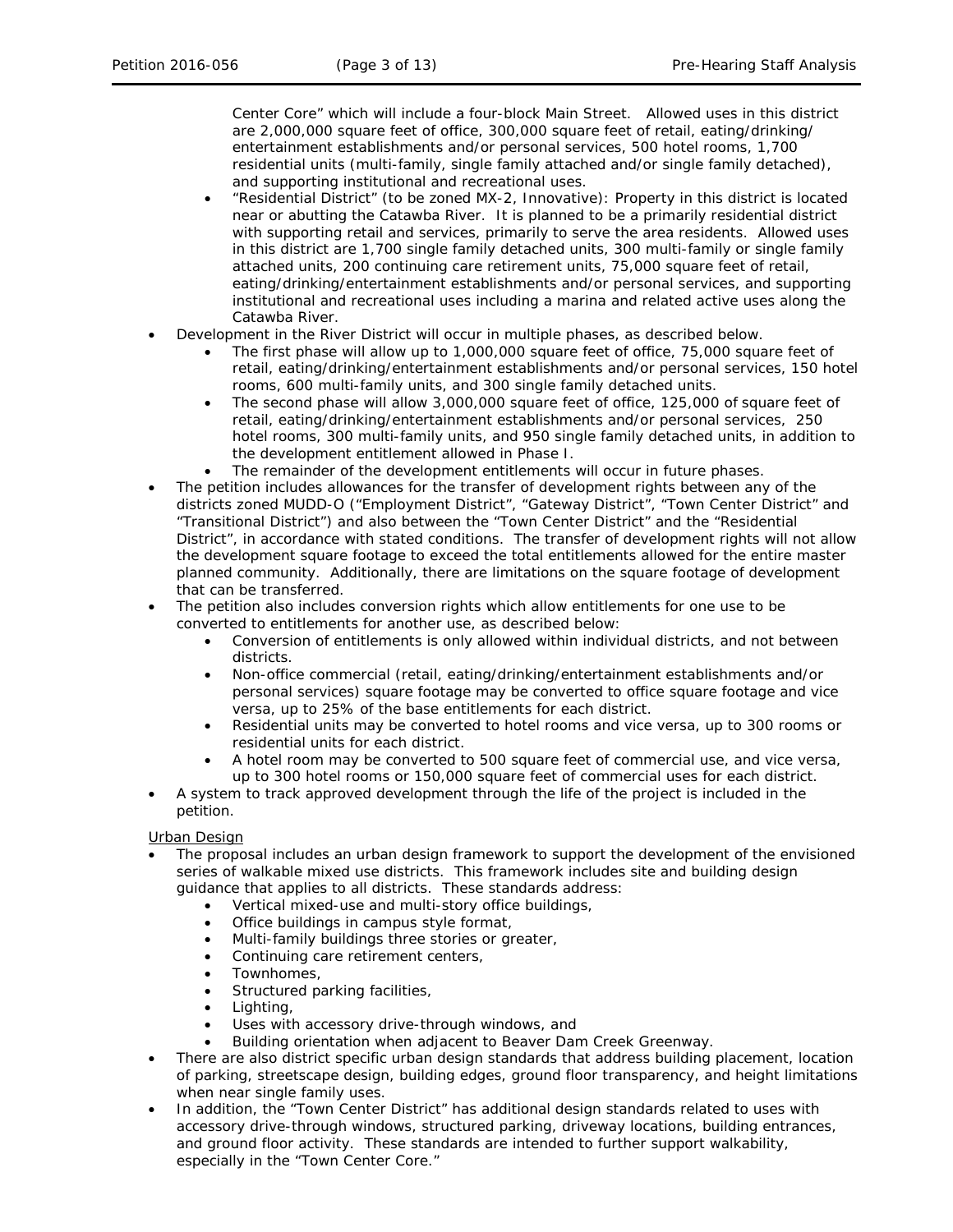Center Core" which will include a four-block Main Street. Allowed uses in this district are 2,000,000 square feet of office, 300,000 square feet of retail, eating/drinking/ entertainment establishments and/or personal services, 500 hotel rooms, 1,700 residential units (multi-family, single family attached and/or single family detached), and supporting institutional and recreational uses.

- "Residential District" (to be zoned MX-2, Innovative): Property in this district is located near or abutting the Catawba River. It is planned to be a primarily residential district with supporting retail and services, primarily to serve the area residents. Allowed uses in this district are 1,700 single family detached units, 300 multi-family or single family attached units, 200 continuing care retirement units, 75,000 square feet of retail, eating/drinking/entertainment establishments and/or personal services, and supporting institutional and recreational uses including a marina and related active uses along the Catawba River.
- Development in the River District will occur in multiple phases, as described below.
	- The first phase will allow up to 1,000,000 square feet of office, 75,000 square feet of retail, eating/drinking/entertainment establishments and/or personal services, 150 hotel rooms, 600 multi-family units, and 300 single family detached units.
	- The second phase will allow 3,000,000 square feet of office, 125,000 of square feet of retail, eating/drinking/entertainment establishments and/or personal services, 250 hotel rooms, 300 multi-family units, and 950 single family detached units, in addition to the development entitlement allowed in Phase I.
	- The remainder of the development entitlements will occur in future phases.
- The petition includes allowances for the transfer of development rights between any of the districts zoned MUDD-O ("Employment District", "Gateway District", "Town Center District" and "Transitional District") and also between the "Town Center District" and the "Residential District", in accordance with stated conditions. The transfer of development rights will not allow the development square footage to exceed the total entitlements allowed for the entire master planned community. Additionally, there are limitations on the square footage of development that can be transferred.
- The petition also includes conversion rights which allow entitlements for one use to be converted to entitlements for another use, as described below:
	- Conversion of entitlements is only allowed within individual districts, and not between districts.
	- Non-office commercial (retail, eating/drinking/entertainment establishments and/or personal services) square footage may be converted to office square footage and vice versa, up to 25% of the base entitlements for each district.
	- Residential units may be converted to hotel rooms and vice versa, up to 300 rooms or residential units for each district.
	- A hotel room may be converted to 500 square feet of commercial use, and vice versa, up to 300 hotel rooms or 150,000 square feet of commercial uses for each district.
- A system to track approved development through the life of the project is included in the petition.

## Urban Design

- The proposal includes an urban design framework to support the development of the envisioned series of walkable mixed use districts. This framework includes site and building design guidance that applies to all districts. These standards address:
	- Vertical mixed-use and multi-story office buildings,
	- Office buildings in campus style format,
	- Multi-family buildings three stories or greater,
	- Continuing care retirement centers,
	- Townhomes,
	- Structured parking facilities,
	- Lighting,
	- Uses with accessory drive-through windows, and
	- Building orientation when adjacent to Beaver Dam Creek Greenway.
- There are also district specific urban design standards that address building placement, location of parking, streetscape design, building edges, ground floor transparency, and height limitations when near single family uses.
- In addition, the "Town Center District" has additional design standards related to uses with accessory drive-through windows, structured parking, driveway locations, building entrances, and ground floor activity. These standards are intended to further support walkability, especially in the "Town Center Core."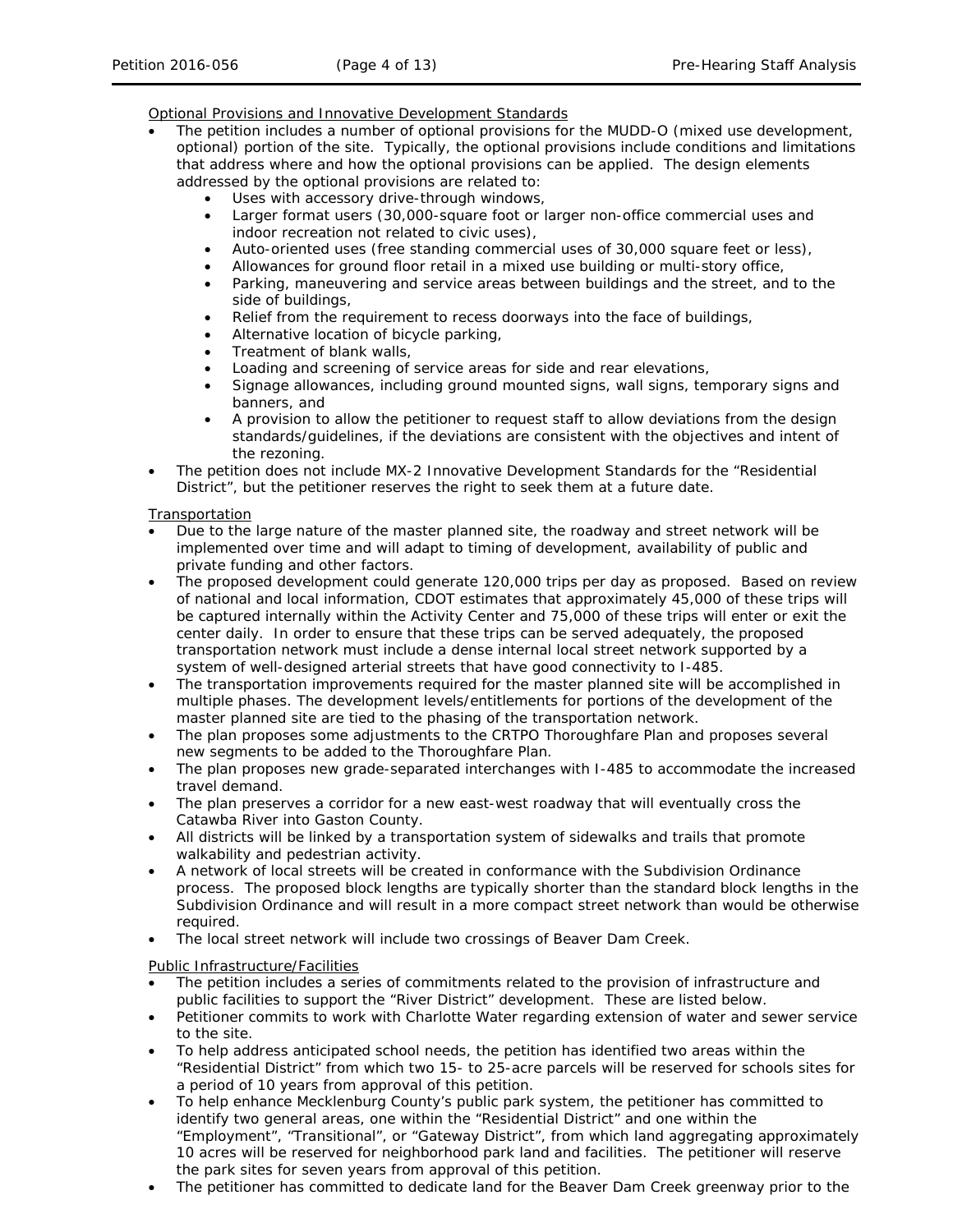Optional Provisions and Innovative Development Standards

- The petition includes a number of optional provisions for the MUDD-O (mixed use development, optional) portion of the site. Typically, the optional provisions include conditions and limitations that address where and how the optional provisions can be applied. The design elements addressed by the optional provisions are related to:
	- Uses with accessory drive-through windows,
		- Larger format users (30,000-square foot or larger non-office commercial uses and indoor recreation not related to civic uses),
		- Auto-oriented uses (free standing commercial uses of 30,000 square feet or less),
	- Allowances for ground floor retail in a mixed use building or multi-story office,
	- Parking, maneuvering and service areas between buildings and the street, and to the side of buildings,
	- Relief from the requirement to recess doorways into the face of buildings,
	- Alternative location of bicycle parking,
	- Treatment of blank walls,
	- Loading and screening of service areas for side and rear elevations,
	- Signage allowances, including ground mounted signs, wall signs, temporary signs and banners, and
	- A provision to allow the petitioner to request staff to allow deviations from the design standards/guidelines, if the deviations are consistent with the objectives and intent of the rezoning.
- The petition does not include MX-2 Innovative Development Standards for the "Residential District", but the petitioner reserves the right to seek them at a future date.

### Transportation

- Due to the large nature of the master planned site, the roadway and street network will be implemented over time and will adapt to timing of development, availability of public and private funding and other factors.
- The proposed development could generate 120,000 trips per day as proposed. Based on review of national and local information, CDOT estimates that approximately 45,000 of these trips will be captured internally within the Activity Center and 75,000 of these trips will enter or exit the center daily. In order to ensure that these trips can be served adequately, the proposed transportation network must include a dense internal local street network supported by a system of well-designed arterial streets that have good connectivity to I-485.
- The transportation improvements required for the master planned site will be accomplished in multiple phases. The development levels/entitlements for portions of the development of the master planned site are tied to the phasing of the transportation network.
- The plan proposes some adjustments to the CRTPO Thoroughfare Plan and proposes several new segments to be added to the Thoroughfare Plan.
- The plan proposes new grade-separated interchanges with I-485 to accommodate the increased travel demand.
- The plan preserves a corridor for a new east-west roadway that will eventually cross the Catawba River into Gaston County.
- All districts will be linked by a transportation system of sidewalks and trails that promote walkability and pedestrian activity.
- A network of local streets will be created in conformance with the Subdivision Ordinance process. The proposed block lengths are typically shorter than the standard block lengths in the Subdivision Ordinance and will result in a more compact street network than would be otherwise required.
- The local street network will include two crossings of Beaver Dam Creek.

## Public Infrastructure/Facilities

- The petition includes a series of commitments related to the provision of infrastructure and public facilities to support the "River District" development. These are listed below.
- Petitioner commits to work with Charlotte Water regarding extension of water and sewer service to the site.
- To help address anticipated school needs, the petition has identified two areas within the "Residential District" from which two 15- to 25-acre parcels will be reserved for schools sites for a period of 10 years from approval of this petition.
- To help enhance Mecklenburg County's public park system, the petitioner has committed to identify two general areas, one within the "Residential District" and one within the "Employment", "Transitional", or "Gateway District", from which land aggregating approximately 10 acres will be reserved for neighborhood park land and facilities. The petitioner will reserve the park sites for seven years from approval of this petition.
- The petitioner has committed to dedicate land for the Beaver Dam Creek greenway prior to the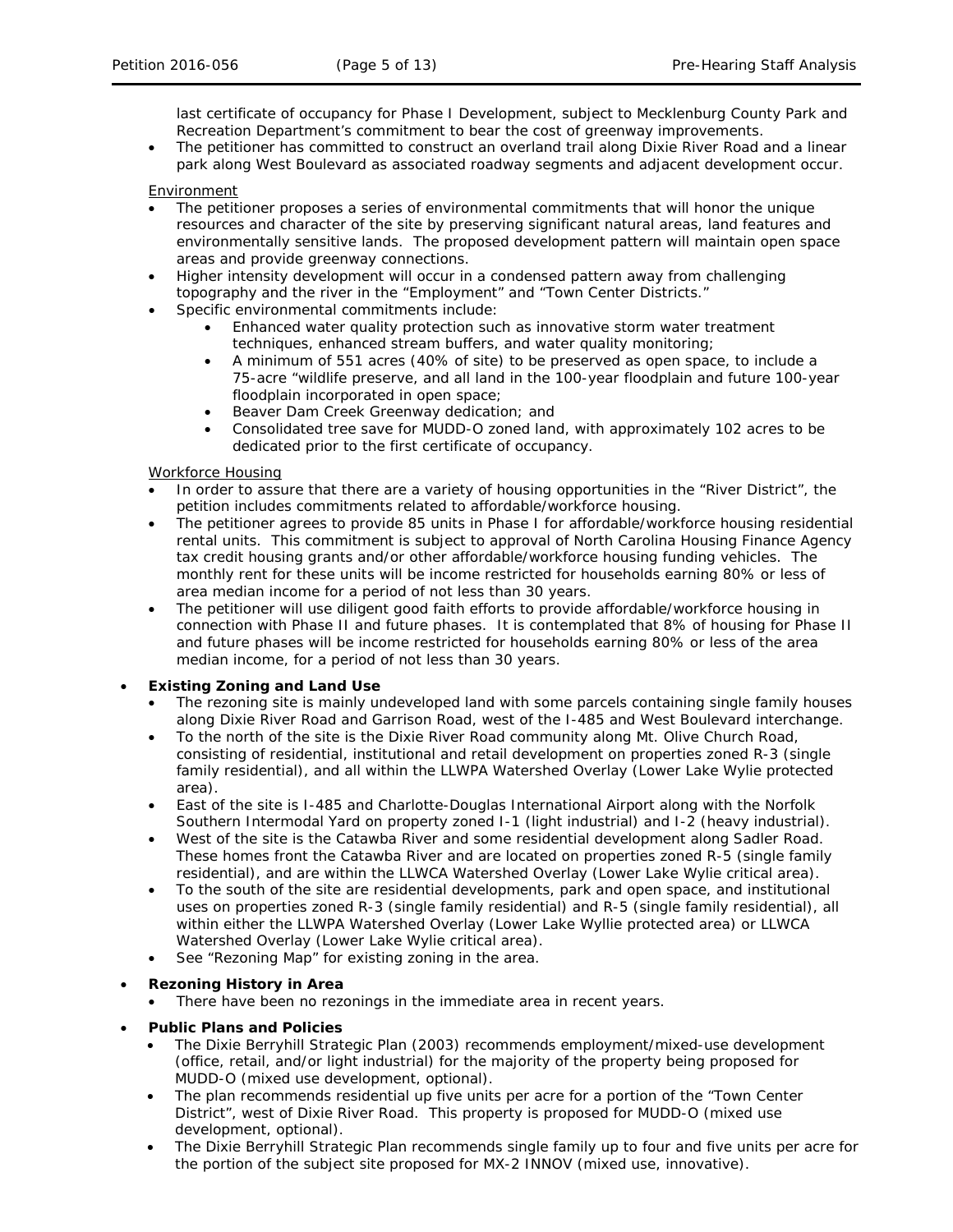last certificate of occupancy for Phase I Development, subject to Mecklenburg County Park and Recreation Department's commitment to bear the cost of greenway improvements.

• The petitioner has committed to construct an overland trail along Dixie River Road and a linear park along West Boulevard as associated roadway segments and adjacent development occur.

### Environment

- The petitioner proposes a series of environmental commitments that will honor the unique resources and character of the site by preserving significant natural areas, land features and environmentally sensitive lands. The proposed development pattern will maintain open space areas and provide greenway connections.
- Higher intensity development will occur in a condensed pattern away from challenging topography and the river in the "Employment" and "Town Center Districts."
- Specific environmental commitments include:
	- Enhanced water quality protection such as innovative storm water treatment techniques, enhanced stream buffers, and water quality monitoring;
	- A minimum of 551 acres (40% of site) to be preserved as open space, to include a 75-acre "wildlife preserve, and all land in the 100-year floodplain and future 100-year floodplain incorporated in open space;
	- Beaver Dam Creek Greenway dedication; and
	- Consolidated tree save for MUDD-O zoned land, with approximately 102 acres to be dedicated prior to the first certificate of occupancy.

### Workforce Housing

- In order to assure that there are a variety of housing opportunities in the "River District", the petition includes commitments related to affordable/workforce housing.
- The petitioner agrees to provide 85 units in Phase I for affordable/workforce housing residential rental units. This commitment is subject to approval of North Carolina Housing Finance Agency tax credit housing grants and/or other affordable/workforce housing funding vehicles. The monthly rent for these units will be income restricted for households earning 80% or less of area median income for a period of not less than 30 years.
- The petitioner will use diligent good faith efforts to provide affordable/workforce housing in connection with Phase II and future phases. It is contemplated that 8% of housing for Phase II and future phases will be income restricted for households earning 80% or less of the area median income, for a period of not less than 30 years.

## • **Existing Zoning and Land Use**

- The rezoning site is mainly undeveloped land with some parcels containing single family houses along Dixie River Road and Garrison Road, west of the I-485 and West Boulevard interchange.
- To the north of the site is the Dixie River Road community along Mt. Olive Church Road, consisting of residential, institutional and retail development on properties zoned R-3 (single family residential), and all within the LLWPA Watershed Overlay (Lower Lake Wylie protected area).
- East of the site is I-485 and Charlotte-Douglas International Airport along with the Norfolk Southern Intermodal Yard on property zoned I-1 (light industrial) and I-2 (heavy industrial).
- West of the site is the Catawba River and some residential development along Sadler Road. These homes front the Catawba River and are located on properties zoned R-5 (single family residential), and are within the LLWCA Watershed Overlay (Lower Lake Wylie critical area).
- To the south of the site are residential developments, park and open space, and institutional uses on properties zoned R-3 (single family residential) and R-5 (single family residential), all within either the LLWPA Watershed Overlay (Lower Lake Wyllie protected area) or LLWCA Watershed Overlay (Lower Lake Wylie critical area).
- See "Rezoning Map" for existing zoning in the area.

## • **Rezoning History in Area**

- There have been no rezonings in the immediate area in recent years.
- **Public Plans and Policies**
	- The *Dixie Berryhill Strategic Plan* (2003) recommends employment/mixed-use development (office, retail, and/or light industrial) for the majority of the property being proposed for MUDD-O (mixed use development, optional).
	- The plan recommends residential up five units per acre for a portion of the "Town Center" District", west of Dixie River Road. This property is proposed for MUDD-O (mixed use development, optional).
	- The *Dixie Berryhill Strategic Plan* recommends single family up to four and five units per acre for the portion of the subject site proposed for MX-2 INNOV (mixed use, innovative).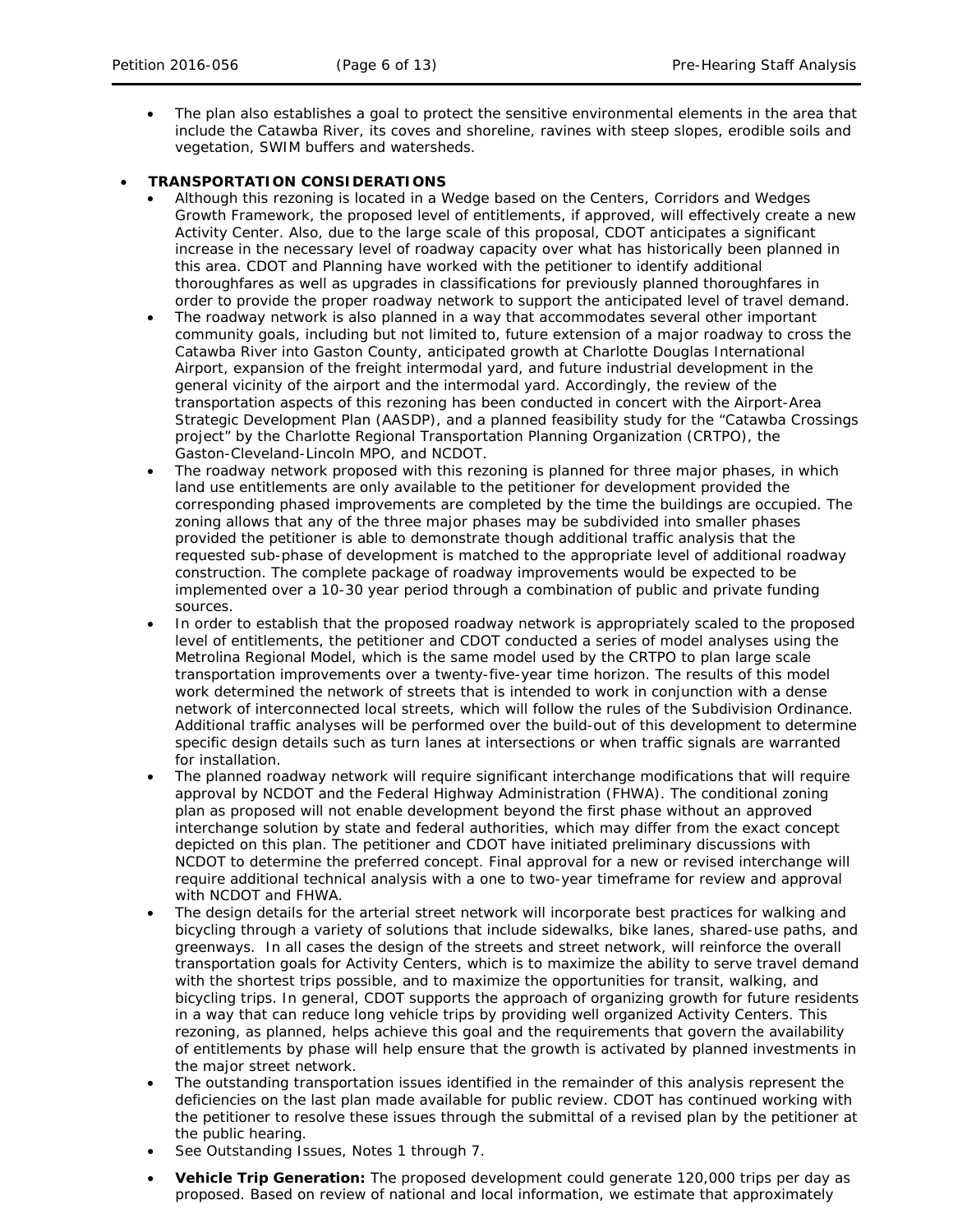• The plan also establishes a goal to protect the sensitive environmental elements in the area that include the Catawba River, its coves and shoreline, ravines with steep slopes, erodible soils and vegetation, SWIM buffers and watersheds.

# • **TRANSPORTATION CONSIDERATIONS**

- Although this rezoning is located in a Wedge based on the *Centers, Corridors and Wedges Growth Framework*, the proposed level of entitlements, if approved, will effectively create a new Activity Center. Also, due to the large scale of this proposal, CDOT anticipates a significant increase in the necessary level of roadway capacity over what has historically been planned in this area. CDOT and Planning have worked with the petitioner to identify additional thoroughfares as well as upgrades in classifications for previously planned thoroughfares in order to provide the proper roadway network to support the anticipated level of travel demand.
- The roadway network is also planned in a way that accommodates several other important community goals, including but not limited to, future extension of a major roadway to cross the Catawba River into Gaston County, anticipated growth at Charlotte Douglas International Airport, expansion of the freight intermodal yard, and future industrial development in the general vicinity of the airport and the intermodal yard. Accordingly, the review of the transportation aspects of this rezoning has been conducted in concert with the *Airport-Area Strategic Development Plan* (AASDP), and a planned feasibility study for the "Catawba Crossings project" by the Charlotte Regional Transportation Planning Organization (CRTPO), the Gaston-Cleveland-Lincoln MPO, and NCDOT.
- The roadway network proposed with this rezoning is planned for three major phases, in which land use entitlements are only available to the petitioner for development provided the corresponding phased improvements are completed by the time the buildings are occupied. The zoning allows that any of the three major phases may be subdivided into smaller phases provided the petitioner is able to demonstrate though additional traffic analysis that the requested sub-phase of development is matched to the appropriate level of additional roadway construction. The complete package of roadway improvements would be expected to be implemented over a 10-30 year period through a combination of public and private funding sources.
- In order to establish that the proposed roadway network is appropriately scaled to the proposed level of entitlements, the petitioner and CDOT conducted a series of model analyses using the Metrolina Regional Model, which is the same model used by the CRTPO to plan large scale transportation improvements over a twenty-five-year time horizon. The results of this model work determined the network of streets that is intended to work in conjunction with a dense network of interconnected local streets, which will follow the rules of the Subdivision Ordinance. Additional traffic analyses will be performed over the build-out of this development to determine specific design details such as turn lanes at intersections or when traffic signals are warranted for installation.
- The planned roadway network will require significant interchange modifications that will require approval by NCDOT and the Federal Highway Administration (FHWA). The conditional zoning plan as proposed will not enable development beyond the first phase without an approved interchange solution by state and federal authorities, which may differ from the exact concept depicted on this plan. The petitioner and CDOT have initiated preliminary discussions with NCDOT to determine the preferred concept. Final approval for a new or revised interchange will require additional technical analysis with a one to two-year timeframe for review and approval with NCDOT and FHWA.
- The design details for the arterial street network will incorporate best practices for walking and bicycling through a variety of solutions that include sidewalks, bike lanes, shared-use paths, and greenways. In all cases the design of the streets and street network, will reinforce the overall transportation goals for Activity Centers, which is to maximize the ability to serve travel demand with the shortest trips possible, and to maximize the opportunities for transit, walking, and bicycling trips. In general, CDOT supports the approach of organizing growth for future residents in a way that can reduce long vehicle trips by providing well organized Activity Centers. This rezoning, as planned, helps achieve this goal and the requirements that govern the availability of entitlements by phase will help ensure that the growth is activated by planned investments in the major street network.
- The outstanding transportation issues identified in the remainder of this analysis represent the deficiencies on the last plan made available for public review. CDOT has continued working with the petitioner to resolve these issues through the submittal of a revised plan by the petitioner at the public hearing.
- See Outstanding Issues, Notes 1 through 7.
- **Vehicle Trip Generation:** The proposed development could generate 120,000 trips per day as proposed. Based on review of national and local information, we estimate that approximately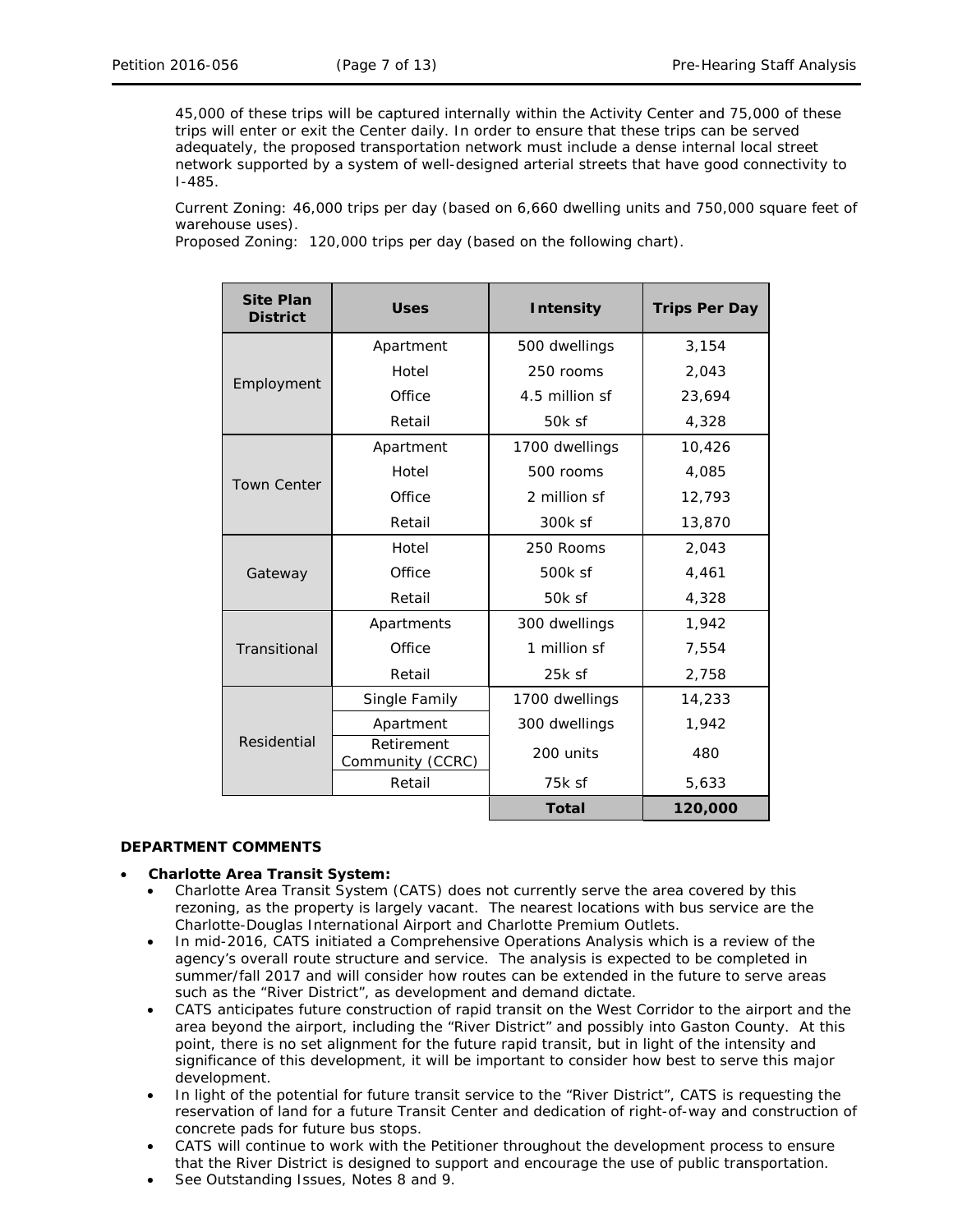45,000 of these trips will be captured internally within the Activity Center and 75,000 of these trips will enter or exit the Center daily. In order to ensure that these trips can be served adequately, the proposed transportation network must include a dense internal local street network supported by a system of well-designed arterial streets that have good connectivity to I-485.

Current Zoning: 46,000 trips per day (based on 6,660 dwelling units and 750,000 square feet of warehouse uses).

Proposed Zoning:120,000 trips per day (based on the following chart).

| <b>Site Plan</b><br><b>District</b> | <b>Uses</b>                    | <b>Intensity</b> | <b>Trips Per Day</b> |
|-------------------------------------|--------------------------------|------------------|----------------------|
| Employment                          | Apartment                      | 500 dwellings    | 3,154                |
|                                     | Hotel                          | 250 rooms        | 2,043                |
|                                     | Office                         | 4.5 million sf   | 23,694               |
|                                     | Retail                         | 50k sf           | 4,328                |
| <b>Town Center</b>                  | Apartment                      | 1700 dwellings   | 10,426               |
|                                     | Hotel                          | 500 rooms        | 4,085                |
|                                     | Office                         | 2 million sf     | 12,793               |
|                                     | Retail                         | 300k sf          | 13,870               |
| Gateway                             | Hotel                          | 250 Rooms        | 2,043                |
|                                     | Office                         | 500k sf          | 4,461                |
|                                     | Retail                         | 50k sf           | 4,328                |
| Transitional                        | Apartments                     | 300 dwellings    | 1.942                |
|                                     | Office                         | 1 million sf     | 7,554                |
|                                     | Retail                         | $25k$ sf         | 2,758                |
| Residential                         | Single Family                  | 1700 dwellings   | 14,233               |
|                                     | Apartment                      | 300 dwellings    | 1,942                |
|                                     | Retirement<br>Community (CCRC) | 200 units        | 480                  |
|                                     | Retail                         | 75k sf           | 5,633                |
|                                     |                                | <b>Total</b>     | 120,000              |

## **DEPARTMENT COMMENTS**

#### • **Charlotte Area Transit System:**

- Charlotte Area Transit System (CATS) does not currently serve the area covered by this rezoning, as the property is largely vacant. The nearest locations with bus service are the Charlotte-Douglas International Airport and Charlotte Premium Outlets.
- In mid-2016, CATS initiated a Comprehensive Operations Analysis which is a review of the agency's overall route structure and service. The analysis is expected to be completed in summer/fall 2017 and will consider how routes can be extended in the future to serve areas such as the "River District", as development and demand dictate.
- CATS anticipates future construction of rapid transit on the West Corridor to the airport and the area beyond the airport, including the "River District" and possibly into Gaston County. At this point, there is no set alignment for the future rapid transit, but in light of the intensity and significance of this development, it will be important to consider how best to serve this major development.
- In light of the potential for future transit service to the "River District", CATS is requesting the reservation of land for a future Transit Center and dedication of right-of-way and construction of concrete pads for future bus stops.
- CATS will continue to work with the Petitioner throughout the development process to ensure that the River District is designed to support and encourage the use of public transportation.
- See Outstanding Issues, Notes 8 and 9.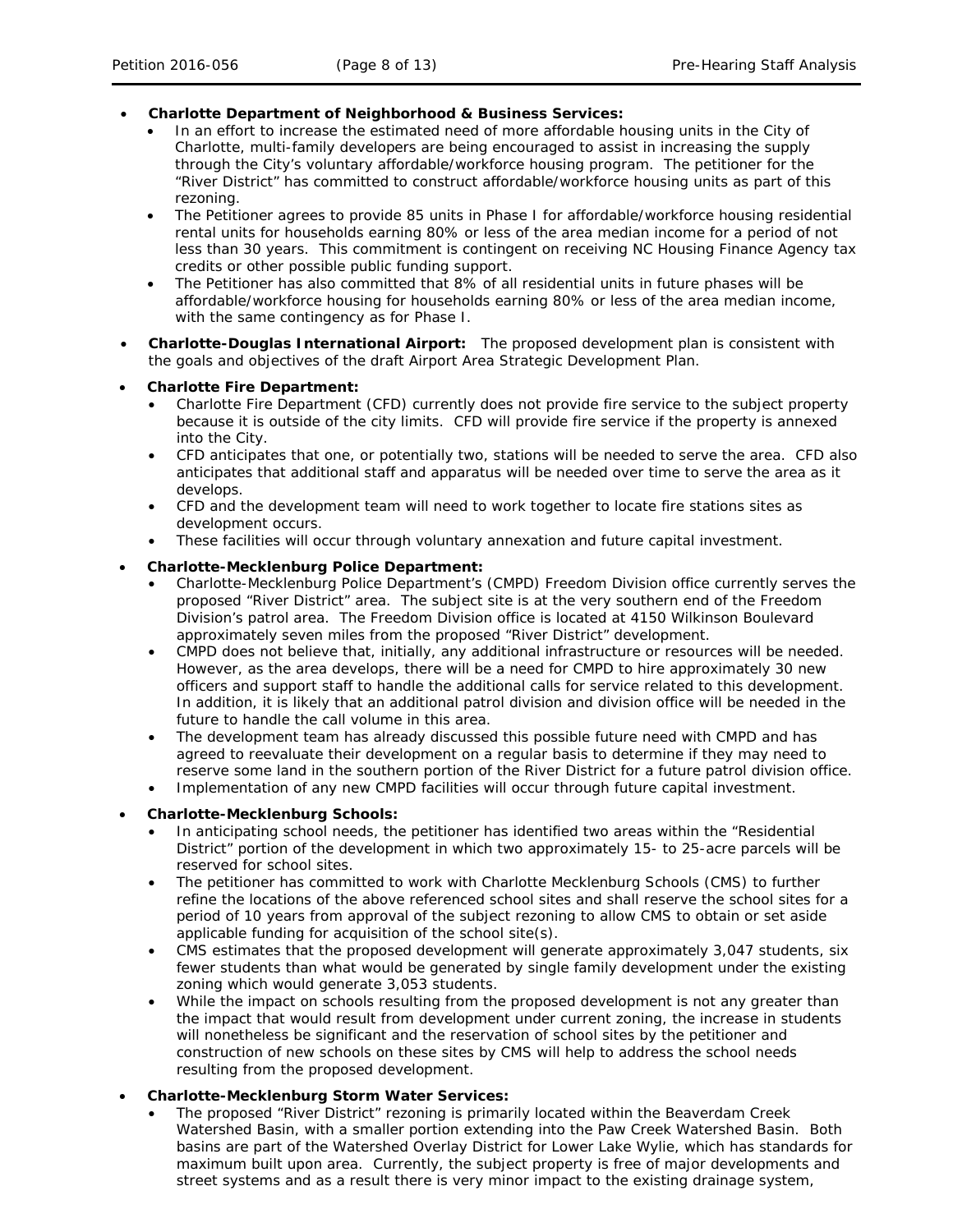## • **Charlotte Department of Neighborhood & Business Services:**

- In an effort to increase the estimated need of more affordable housing units in the City of Charlotte, multi-family developers are being encouraged to assist in increasing the supply through the City's voluntary affordable/workforce housing program. The petitioner for the "River District" has committed to construct affordable/workforce housing units as part of this rezoning.
- The Petitioner agrees to provide 85 units in Phase I for affordable/workforce housing residential rental units for households earning 80% or less of the area median income for a period of not less than 30 years. This commitment is contingent on receiving NC Housing Finance Agency tax credits or other possible public funding support.
- The Petitioner has also committed that 8% of all residential units in future phases will be affordable/workforce housing for households earning 80% or less of the area median income, with the same contingency as for Phase I.
- **Charlotte-Douglas International Airport:** The proposed development plan is consistent with the goals and objectives of the draft *Airport Area Strategic Development Plan*.
- **Charlotte Fire Department:** 
	- Charlotte Fire Department (CFD) currently does not provide fire service to the subject property because it is outside of the city limits. CFD will provide fire service if the property is annexed into the City.
	- CFD anticipates that one, or potentially two, stations will be needed to serve the area. CFD also anticipates that additional staff and apparatus will be needed over time to serve the area as it develops.
	- CFD and the development team will need to work together to locate fire stations sites as development occurs.
	- These facilities will occur through voluntary annexation and future capital investment.

### • **Charlotte-Mecklenburg Police Department:**

- Charlotte-Mecklenburg Police Department's (CMPD) Freedom Division office currently serves the proposed "River District" area. The subject site is at the very southern end of the Freedom Division's patrol area. The Freedom Division office is located at 4150 Wilkinson Boulevard approximately seven miles from the proposed "River District" development.
- CMPD does not believe that, initially, any additional infrastructure or resources will be needed. However, as the area develops, there will be a need for CMPD to hire approximately 30 new officers and support staff to handle the additional calls for service related to this development. In addition, it is likely that an additional patrol division and division office will be needed in the future to handle the call volume in this area.
- The development team has already discussed this possible future need with CMPD and has agreed to reevaluate their development on a regular basis to determine if they may need to reserve some land in the southern portion of the River District for a future patrol division office.
- Implementation of any new CMPD facilities will occur through future capital investment.

#### • **Charlotte-Mecklenburg Schools:**

- In anticipating school needs, the petitioner has identified two areas within the "Residential District" portion of the development in which two approximately 15- to 25-acre parcels will be reserved for school sites.
- The petitioner has committed to work with Charlotte Mecklenburg Schools (CMS) to further refine the locations of the above referenced school sites and shall reserve the school sites for a period of 10 years from approval of the subject rezoning to allow CMS to obtain or set aside applicable funding for acquisition of the school site(s).
- CMS estimates that the proposed development will generate approximately 3,047 students, six fewer students than what would be generated by single family development under the existing zoning which would generate 3,053 students.
- While the impact on schools resulting from the proposed development is not any greater than the impact that would result from development under current zoning, the increase in students will nonetheless be significant and the reservation of school sites by the petitioner and construction of new schools on these sites by CMS will help to address the school needs resulting from the proposed development.

# • **Charlotte-Mecklenburg Storm Water Services:**

• The proposed "River District" rezoning is primarily located within the Beaverdam Creek Watershed Basin, with a smaller portion extending into the Paw Creek Watershed Basin. Both basins are part of the Watershed Overlay District for Lower Lake Wylie, which has standards for maximum built upon area. Currently, the subject property is free of major developments and street systems and as a result there is very minor impact to the existing drainage system,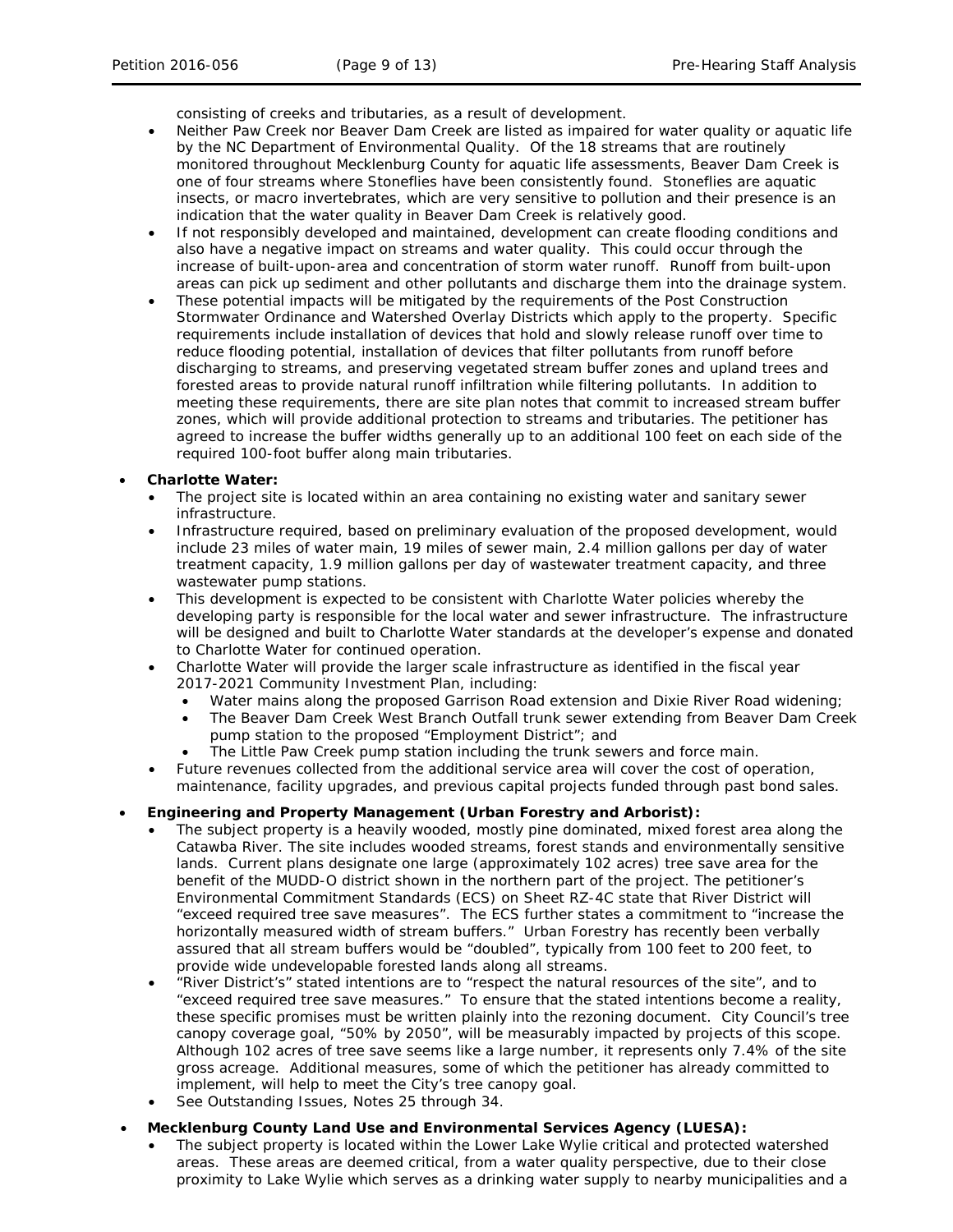consisting of creeks and tributaries, as a result of development.

- Neither Paw Creek nor Beaver Dam Creek are listed as impaired for water quality or aquatic life by the NC Department of Environmental Quality. Of the 18 streams that are routinely monitored throughout Mecklenburg County for aquatic life assessments, Beaver Dam Creek is one of four streams where Stoneflies have been consistently found. Stoneflies are aquatic insects, or macro invertebrates, which are very sensitive to pollution and their presence is an indication that the water quality in Beaver Dam Creek is relatively good.
- If not responsibly developed and maintained, development can create flooding conditions and also have a negative impact on streams and water quality. This could occur through the increase of built-upon-area and concentration of storm water runoff. Runoff from built-upon areas can pick up sediment and other pollutants and discharge them into the drainage system.
- These potential impacts will be mitigated by the requirements of the Post Construction Stormwater Ordinance and Watershed Overlay Districts which apply to the property. Specific requirements include installation of devices that hold and slowly release runoff over time to reduce flooding potential, installation of devices that filter pollutants from runoff before discharging to streams, and preserving vegetated stream buffer zones and upland trees and forested areas to provide natural runoff infiltration while filtering pollutants. In addition to meeting these requirements, there are site plan notes that commit to increased stream buffer zones, which will provide additional protection to streams and tributaries. The petitioner has agreed to increase the buffer widths generally up to an additional 100 feet on each side of the required 100-foot buffer along main tributaries.

### • **Charlotte Water:**

- The project site is located within an area containing no existing water and sanitary sewer infrastructure.
- Infrastructure required, based on preliminary evaluation of the proposed development, would include 23 miles of water main, 19 miles of sewer main, 2.4 million gallons per day of water treatment capacity, 1.9 million gallons per day of wastewater treatment capacity, and three wastewater pump stations.
- This development is expected to be consistent with Charlotte Water policies whereby the developing party is responsible for the local water and sewer infrastructure. The infrastructure will be designed and built to Charlotte Water standards at the developer's expense and donated to Charlotte Water for continued operation.
- Charlotte Water will provide the larger scale infrastructure as identified in the fiscal year 2017-2021 Community Investment Plan, including:
	- Water mains along the proposed Garrison Road extension and Dixie River Road widening;
	- The Beaver Dam Creek West Branch Outfall trunk sewer extending from Beaver Dam Creek pump station to the proposed "Employment District"; and
	- The Little Paw Creek pump station including the trunk sewers and force main.
- Future revenues collected from the additional service area will cover the cost of operation, maintenance, facility upgrades, and previous capital projects funded through past bond sales.

# • **Engineering and Property Management (Urban Forestry and Arborist):**

- The subject property is a heavily wooded, mostly pine dominated, mixed forest area along the Catawba River. The site includes wooded streams, forest stands and environmentally sensitive lands. Current plans designate one large (approximately 102 acres) tree save area for the benefit of the MUDD-O district shown in the northern part of the project. The petitioner's Environmental Commitment Standards (ECS) on Sheet RZ-4C state that River District will "exceed required tree save measures". The ECS further states a commitment to "increase the horizontally measured width of stream buffers." Urban Forestry has recently been verbally assured that all stream buffers would be "doubled", typically from 100 feet to 200 feet, to provide wide undevelopable forested lands along all streams.
- "River District's" stated intentions are to "respect the natural resources of the site", and to "exceed required tree save measures." To ensure that the stated intentions become a reality, these specific promises must be written plainly into the rezoning document. City Council's tree canopy coverage goal, "50% by 2050", will be measurably impacted by projects of this scope. Although 102 acres of tree save seems like a large number, it represents only 7.4% of the site gross acreage. Additional measures, some of which the petitioner has already committed to implement, will help to meet the City's tree canopy goal.
- See Outstanding Issues, Notes 25 through 34.

### • **Mecklenburg County Land Use and Environmental Services Agency (LUESA):**

The subject property is located within the Lower Lake Wylie critical and protected watershed areas. These areas are deemed critical, from a water quality perspective, due to their close proximity to Lake Wylie which serves as a drinking water supply to nearby municipalities and a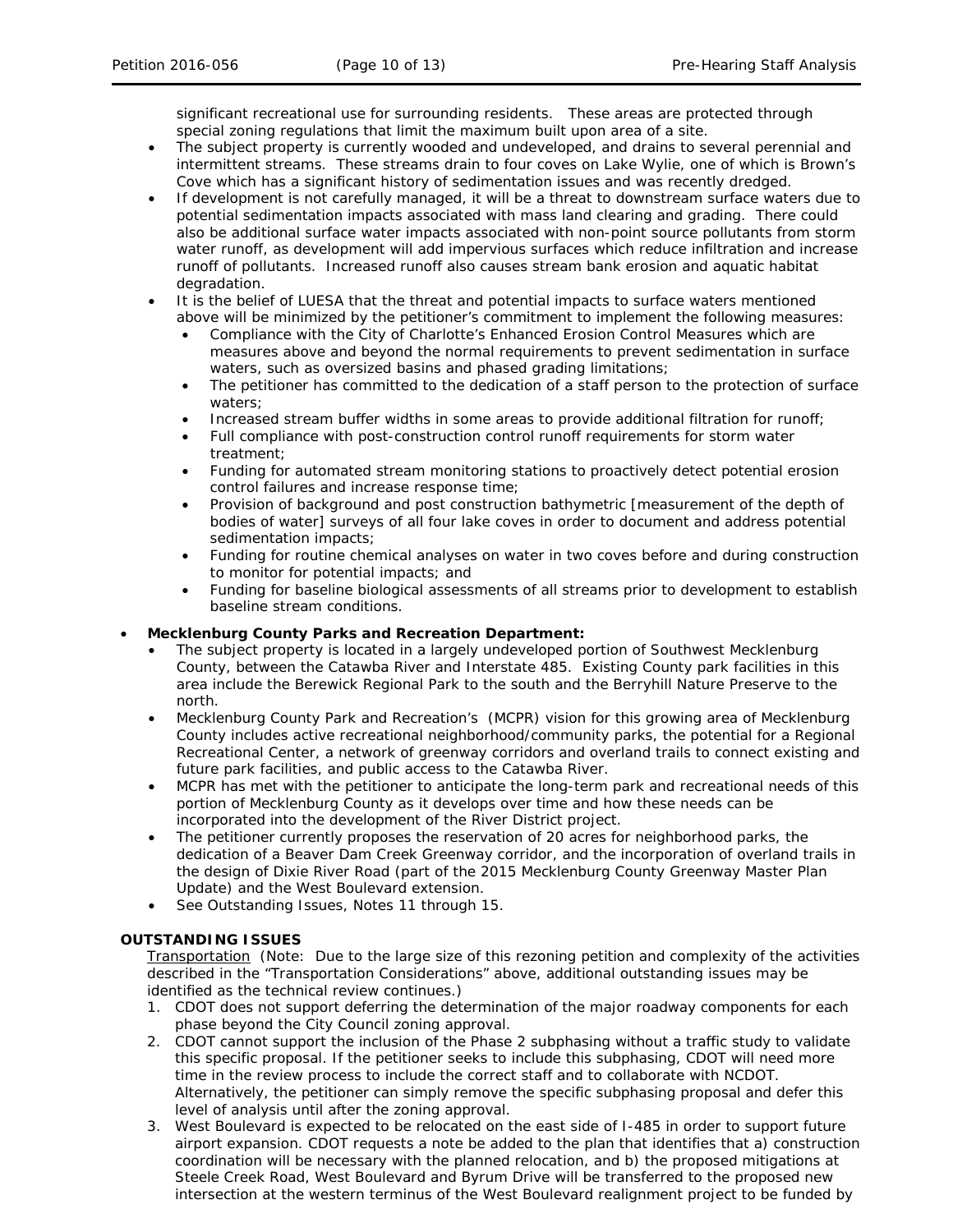significant recreational use for surrounding residents. These areas are protected through special zoning regulations that limit the maximum built upon area of a site.

- The subject property is currently wooded and undeveloped, and drains to several perennial and intermittent streams. These streams drain to four coves on Lake Wylie, one of which is Brown's Cove which has a significant history of sedimentation issues and was recently dredged.
- If development is not carefully managed, it will be a threat to downstream surface waters due to potential sedimentation impacts associated with mass land clearing and grading. There could also be additional surface water impacts associated with non-point source pollutants from storm water runoff, as development will add impervious surfaces which reduce infiltration and increase runoff of pollutants. Increased runoff also causes stream bank erosion and aquatic habitat degradation.
- It is the belief of LUESA that the threat and potential impacts to surface waters mentioned above will be minimized by the petitioner's commitment to implement the following measures:
	- Compliance with the City of Charlotte's Enhanced Erosion Control Measures which are measures above and beyond the normal requirements to prevent sedimentation in surface waters, such as oversized basins and phased grading limitations;
	- The petitioner has committed to the dedication of a staff person to the protection of surface waters;
	- Increased stream buffer widths in some areas to provide additional filtration for runoff;
	- Full compliance with post-construction control runoff requirements for storm water treatment;
	- Funding for automated stream monitoring stations to proactively detect potential erosion control failures and increase response time;
	- Provision of background and post construction bathymetric [measurement of the depth of bodies of water] surveys of all four lake coves in order to document and address potential sedimentation impacts;
	- Funding for routine chemical analyses on water in two coves before and during construction to monitor for potential impacts; and
	- Funding for baseline biological assessments of all streams prior to development to establish baseline stream conditions.

## • **Mecklenburg County Parks and Recreation Department:**

- The subject property is located in a largely undeveloped portion of Southwest Mecklenburg County, between the Catawba River and Interstate 485. Existing County park facilities in this area include the Berewick Regional Park to the south and the Berryhill Nature Preserve to the north.
- Mecklenburg County Park and Recreation's (MCPR) vision for this growing area of Mecklenburg County includes active recreational neighborhood/community parks, the potential for a Regional Recreational Center, a network of greenway corridors and overland trails to connect existing and future park facilities, and public access to the Catawba River.
- MCPR has met with the petitioner to anticipate the long-term park and recreational needs of this portion of Mecklenburg County as it develops over time and how these needs can be incorporated into the development of the River District project.
- The petitioner currently proposes the reservation of 20 acres for neighborhood parks, the dedication of a Beaver Dam Creek Greenway corridor, and the incorporation of overland trails in the design of Dixie River Road (part of the 2015 Mecklenburg County Greenway Master Plan Update) and the West Boulevard extension.
- See Outstanding Issues, Notes 11 through 15.

## **OUTSTANDING ISSUES**

Transportation (Note: Due to the large size of this rezoning petition and complexity of the activities described in the "Transportation Considerations" above, additional outstanding issues may be identified as the technical review continues.)

- 1. CDOT does not support deferring the determination of the major roadway components for each phase beyond the City Council zoning approval.
- 2. CDOT cannot support the inclusion of the Phase 2 subphasing without a traffic study to validate this specific proposal. If the petitioner seeks to include this subphasing, CDOT will need more time in the review process to include the correct staff and to collaborate with NCDOT. Alternatively, the petitioner can simply remove the specific subphasing proposal and defer this level of analysis until after the zoning approval.
- 3. West Boulevard is expected to be relocated on the east side of I-485 in order to support future airport expansion. CDOT requests a note be added to the plan that identifies that a) construction coordination will be necessary with the planned relocation, and b) the proposed mitigations at Steele Creek Road, West Boulevard and Byrum Drive will be transferred to the proposed new intersection at the western terminus of the West Boulevard realignment project to be funded by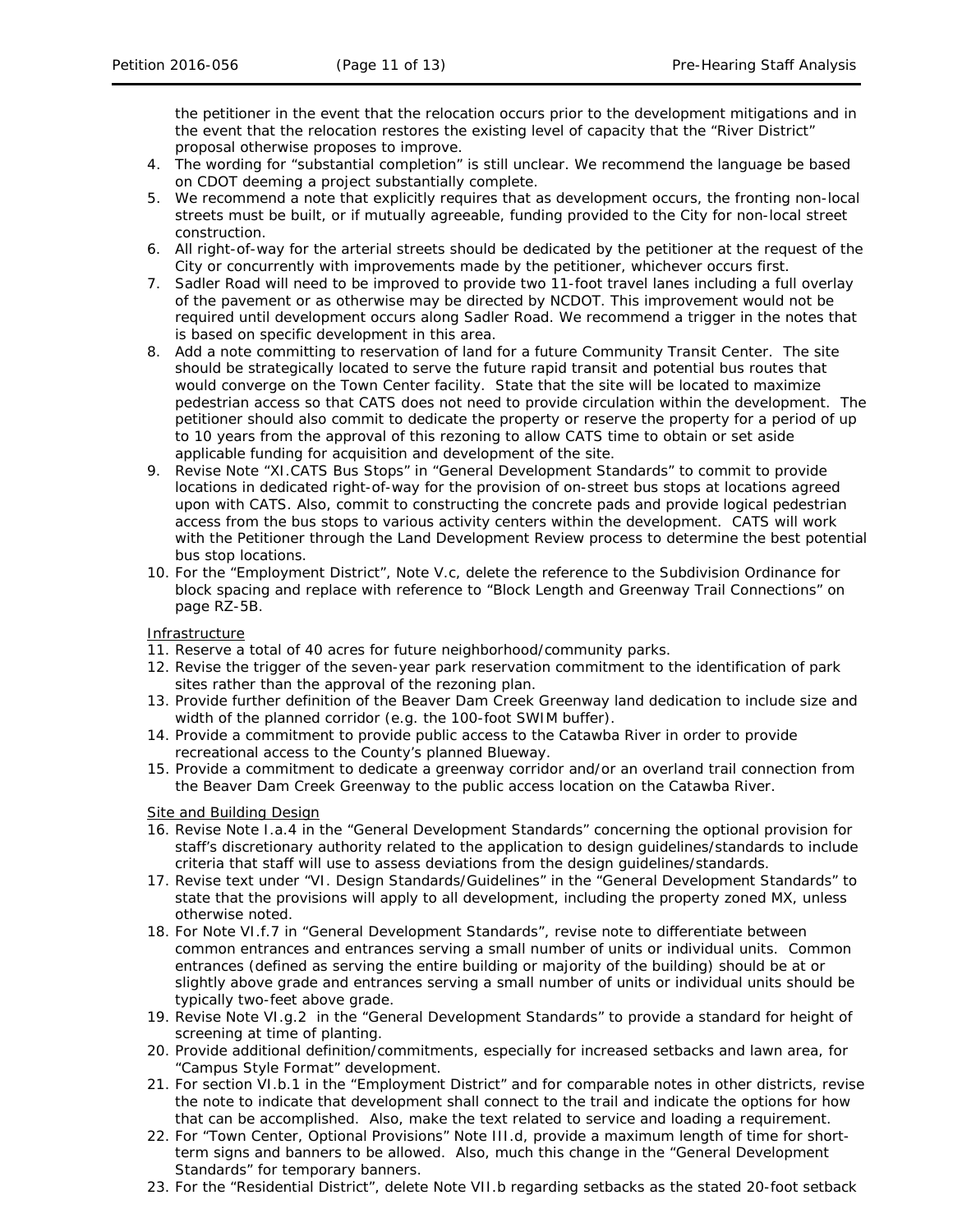the petitioner in the event that the relocation occurs prior to the development mitigations and in the event that the relocation restores the existing level of capacity that the "River District" proposal otherwise proposes to improve.

- 4. The wording for "substantial completion" is still unclear. We recommend the language be based on CDOT deeming a project substantially complete.
- 5. We recommend a note that explicitly requires that as development occurs, the fronting non-local streets must be built, or if mutually agreeable, funding provided to the City for non-local street construction.
- 6. All right-of-way for the arterial streets should be dedicated by the petitioner at the request of the City or concurrently with improvements made by the petitioner, whichever occurs first.
- 7. Sadler Road will need to be improved to provide two 11-foot travel lanes including a full overlay of the pavement or as otherwise may be directed by NCDOT. This improvement would not be required until development occurs along Sadler Road. We recommend a trigger in the notes that is based on specific development in this area.
- 8. Add a note committing to reservation of land for a future Community Transit Center. The site should be strategically located to serve the future rapid transit and potential bus routes that would converge on the Town Center facility. State that the site will be located to maximize pedestrian access so that CATS does not need to provide circulation within the development. The petitioner should also commit to dedicate the property or reserve the property for a period of up to 10 years from the approval of this rezoning to allow CATS time to obtain or set aside applicable funding for acquisition and development of the site.
- 9. Revise Note "XI.CATS Bus Stops" in "General Development Standards" to commit to provide locations in dedicated right-of-way for the provision of on-street bus stops at locations agreed upon with CATS. Also, commit to constructing the concrete pads and provide logical pedestrian access from the bus stops to various activity centers within the development. CATS will work with the Petitioner through the Land Development Review process to determine the best potential bus stop locations.
- 10. For the "Employment District", Note V.c, delete the reference to the Subdivision Ordinance for block spacing and replace with reference to "Block Length and Greenway Trail Connections" on page RZ-5B.

## Infrastructure

- 11. Reserve a total of 40 acres for future neighborhood/community parks.
- 12. Revise the trigger of the seven-year park reservation commitment to the identification of park sites rather than the approval of the rezoning plan.
- 13. Provide further definition of the Beaver Dam Creek Greenway land dedication to include size and width of the planned corridor (e.g. the 100-foot SWIM buffer).
- 14. Provide a commitment to provide public access to the Catawba River in order to provide recreational access to the County's planned Blueway.
- 15. Provide a commitment to dedicate a greenway corridor and/or an overland trail connection from the Beaver Dam Creek Greenway to the public access location on the Catawba River.

#### Site and Building Design

- 16. Revise Note I.a.4 in the "General Development Standards" concerning the optional provision for staff's discretionary authority related to the application to design guidelines/standards to include criteria that staff will use to assess deviations from the design guidelines/standards.
- 17. Revise text under "VI. Design Standards/Guidelines" in the "General Development Standards" to state that the provisions will apply to all development, including the property zoned MX, unless otherwise noted.
- 18. For Note VI.f.7 in "General Development Standards", revise note to differentiate between common entrances and entrances serving a small number of units or individual units. Common entrances (defined as serving the entire building or majority of the building) should be at or slightly above grade and entrances serving a small number of units or individual units should be typically two-feet above grade.
- 19. Revise Note VI.g.2 in the "General Development Standards" to provide a standard for height of screening at time of planting.
- 20. Provide additional definition/commitments, especially for increased setbacks and lawn area, for "Campus Style Format" development.
- 21. For section VI.b.1 in the "Employment District" and for comparable notes in other districts, revise the note to indicate that development shall connect to the trail and indicate the options for how that can be accomplished. Also, make the text related to service and loading a requirement.
- 22. For "Town Center, Optional Provisions" Note III.d, provide a maximum length of time for shortterm signs and banners to be allowed. Also, much this change in the "General Development Standards" for temporary banners.
- 23. For the "Residential District", delete Note VII.b regarding setbacks as the stated 20-foot setback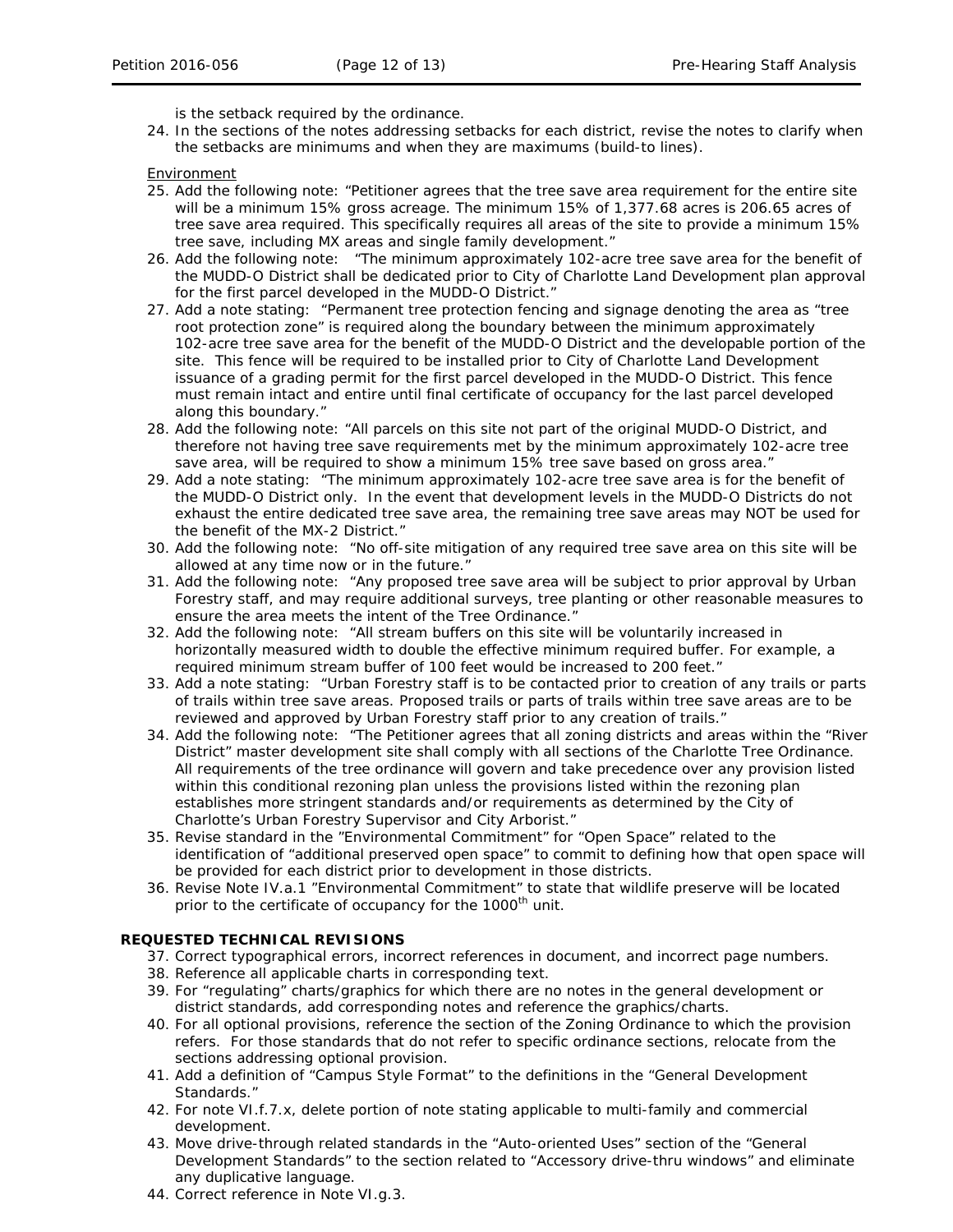is the setback required by the ordinance.

24. In the sections of the notes addressing setbacks for each district, revise the notes to clarify when the setbacks are minimums and when they are maximums (build-to lines).

Environment

- 25. Add the following note: "Petitioner agrees that the tree save area requirement for the entire site will be a minimum 15% gross acreage. The minimum 15% of 1,377.68 acres is 206.65 acres of tree save area required. This specifically requires all areas of the site to provide a minimum 15% tree save, including MX areas and single family development."
- 26. Add the following note: "The minimum approximately 102-acre tree save area for the benefit of the MUDD-O District shall be dedicated prior to City of Charlotte Land Development plan approval for the first parcel developed in the MUDD-O District."
- 27. Add a note stating: "Permanent tree protection fencing and signage denoting the area as "tree root protection zone" is required along the boundary between the minimum approximately 102-acre tree save area for the benefit of the MUDD-O District and the developable portion of the site. This fence will be required to be installed prior to City of Charlotte Land Development issuance of a grading permit for the first parcel developed in the MUDD-O District. This fence must remain intact and entire until final certificate of occupancy for the last parcel developed along this boundary."
- 28. Add the following note: "All parcels on this site not part of the original MUDD-O District, and therefore not having tree save requirements met by the minimum approximately 102-acre tree save area, will be required to show a minimum 15% tree save based on gross area."
- 29. Add a note stating: "The minimum approximately 102-acre tree save area is for the benefit of the MUDD-O District only. In the event that development levels in the MUDD-O Districts do not exhaust the entire dedicated tree save area, the remaining tree save areas may NOT be used for the benefit of the MX-2 District."
- 30. Add the following note: "No off-site mitigation of any required tree save area on this site will be allowed at any time now or in the future."
- 31. Add the following note: "Any proposed tree save area will be subject to prior approval by Urban Forestry staff, and may require additional surveys, tree planting or other reasonable measures to ensure the area meets the intent of the Tree Ordinance."
- 32. Add the following note: "All stream buffers on this site will be voluntarily increased in horizontally measured width to double the effective minimum required buffer. For example, a required minimum stream buffer of 100 feet would be increased to 200 feet."
- 33. Add a note stating: "Urban Forestry staff is to be contacted prior to creation of any trails or parts of trails within tree save areas. Proposed trails or parts of trails within tree save areas are to be reviewed and approved by Urban Forestry staff prior to any creation of trails."
- 34. Add the following note: "The Petitioner agrees that all zoning districts and areas within the "River District" master development site shall comply with all sections of the Charlotte Tree Ordinance. All requirements of the tree ordinance will govern and take precedence over any provision listed within this conditional rezoning plan unless the provisions listed within the rezoning plan establishes more stringent standards and/or requirements as determined by the City of Charlotte's Urban Forestry Supervisor and City Arborist."
- 35. Revise standard in the "Environmental Commitment" for "Open Space" related to the identification of "additional preserved open space" to commit to defining how that open space will be provided for each district prior to development in those districts.
- 36. Revise Note IV.a.1 "Environmental Commitment" to state that wildlife preserve will be located prior to the certificate of occupancy for the 1000<sup>th</sup> unit.

## **REQUESTED TECHNICAL REVISIONS**

- 37. Correct typographical errors, incorrect references in document, and incorrect page numbers.
- 38. Reference all applicable charts in corresponding text.
- 39. For "regulating" charts/graphics for which there are no notes in the general development or district standards, add corresponding notes and reference the graphics/charts.
- 40. For all optional provisions, reference the section of the Zoning Ordinance to which the provision refers. For those standards that do not refer to specific ordinance sections, relocate from the sections addressing optional provision.
- 41. Add a definition of "Campus Style Format" to the definitions in the "General Development Standards."
- 42. For note VI.f.7.x, delete portion of note stating applicable to multi-family and commercial development.
- 43. Move drive-through related standards in the "Auto-oriented Uses" section of the "General Development Standards" to the section related to "Accessory drive-thru windows" and eliminate any duplicative language.
- 44. Correct reference in Note VI.g.3.